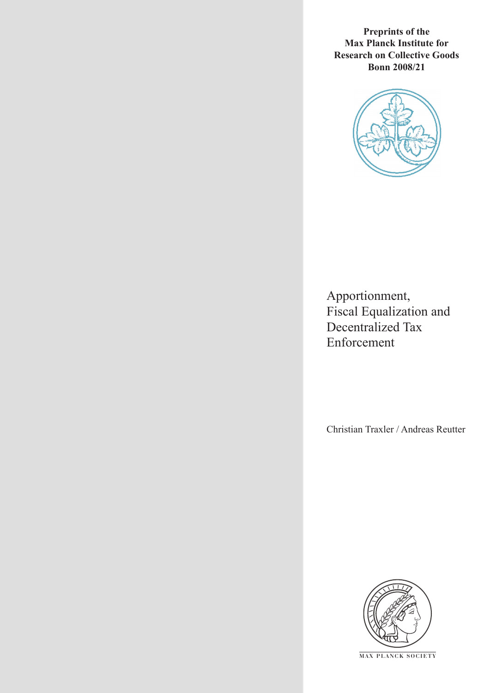**Preprints of the Max Planck Institute for Research on Collective Goods Bonn 2008/21**



Apportionment, Fiscal Equalization and Decentralized Tax Enforcement

Christian Traxler / Andreas Reutter



**M AX P L A N C K S O C I E T Y**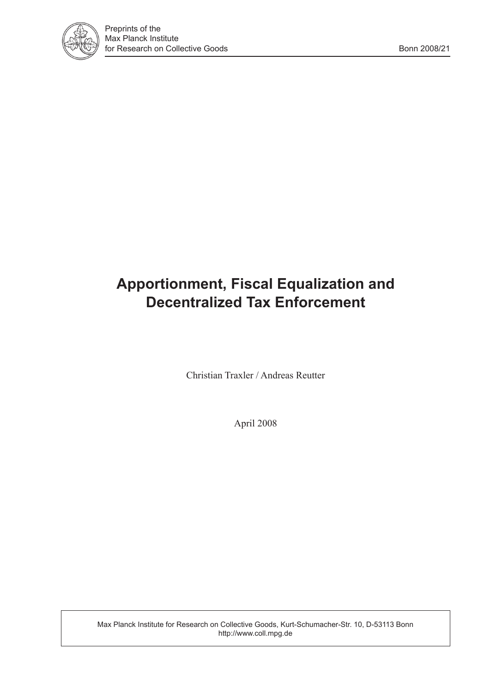

# **Apportionment, Fiscal Equalization and Decentralized Tax Enforcement**

Christian Traxler / Andreas Reutter

April 2008

Max Planck Institute for Research on Collective Goods, Kurt-Schumacher-Str. 10, D-53113 Bonn http://www.coll.mpg.de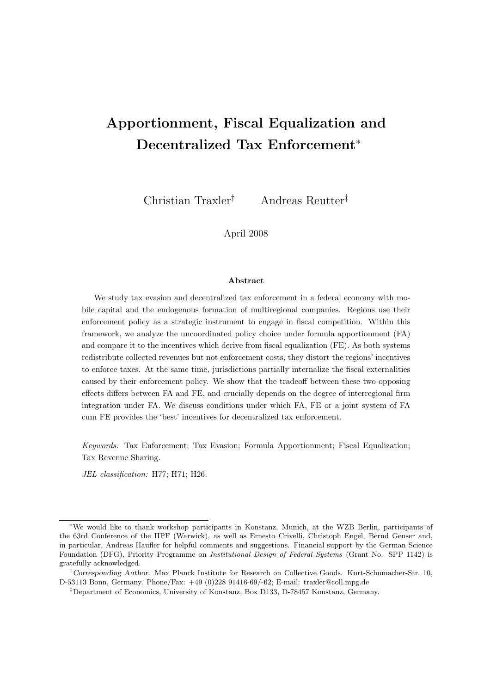## Apportionment, Fiscal Equalization and Decentralized Tax Enforcement<sup>\*</sup>

Christian Traxler† Andreas Reutter‡

April 2008

#### Abstract

We study tax evasion and decentralized tax enforcement in a federal economy with mobile capital and the endogenous formation of multiregional companies. Regions use their enforcement policy as a strategic instrument to engage in fiscal competition. Within this framework, we analyze the uncoordinated policy choice under formula apportionment (FA) and compare it to the incentives which derive from fiscal equalization (FE). As both systems redistribute collected revenues but not enforcement costs, they distort the regions' incentives to enforce taxes. At the same time, jurisdictions partially internalize the fiscal externalities caused by their enforcement policy. We show that the tradeoff between these two opposing effects differs between FA and FE, and crucially depends on the degree of interregional firm integration under FA. We discuss conditions under which FA, FE or a joint system of FA cum FE provides the 'best' incentives for decentralized tax enforcement.

Keywords: Tax Enforcement; Tax Evasion; Formula Apportionment; Fiscal Equalization; Tax Revenue Sharing.

JEL classification: H77; H71; H26.

<sup>∗</sup>We would like to thank workshop participants in Konstanz, Munich, at the WZB Berlin, participants of the 63rd Conference of the IIPF (Warwick), as well as Ernesto Crivelli, Christoph Engel, Bernd Genser and, in particular, Andreas Haufler for helpful comments and suggestions. Financial support by the German Science Foundation (DFG), Priority Programme on Institutional Design of Federal Systems (Grant No. SPP 1142) is gratefully acknowledged.

<sup>†</sup>Corresponding Author. Max Planck Institute for Research on Collective Goods. Kurt-Schumacher-Str. 10, D-53113 Bonn, Germany. Phone/Fax: +49 (0)228 91416-69/-62; E-mail: traxler@coll.mpg.de

<sup>‡</sup>Department of Economics, University of Konstanz, Box D133, D-78457 Konstanz, Germany.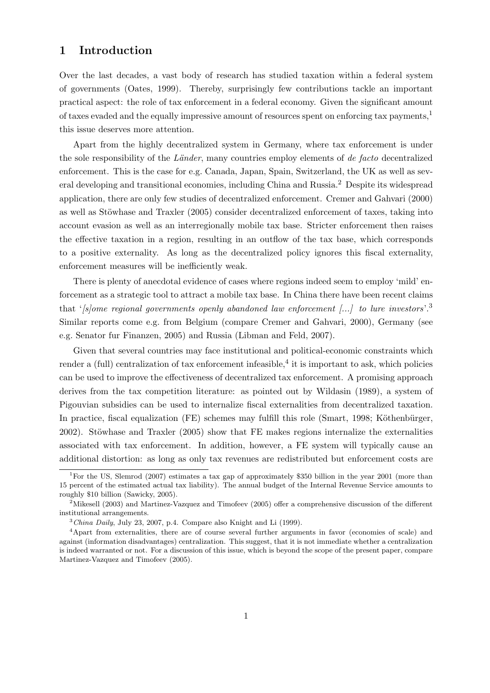## 1 Introduction

Over the last decades, a vast body of research has studied taxation within a federal system of governments (Oates, 1999). Thereby, surprisingly few contributions tackle an important practical aspect: the role of tax enforcement in a federal economy. Given the significant amount of taxes evaded and the equally impressive amount of resources spent on enforcing tax payments,<sup>1</sup> this issue deserves more attention.

Apart from the highly decentralized system in Germany, where tax enforcement is under the sole responsibility of the Länder, many countries employ elements of de facto decentralized enforcement. This is the case for e.g. Canada, Japan, Spain, Switzerland, the UK as well as several developing and transitional economies, including China and Russia.<sup>2</sup> Despite its widespread application, there are only few studies of decentralized enforcement. Cremer and Gahvari (2000) as well as Stöwhase and Traxler (2005) consider decentralized enforcement of taxes, taking into account evasion as well as an interregionally mobile tax base. Stricter enforcement then raises the effective taxation in a region, resulting in an outflow of the tax base, which corresponds to a positive externality. As long as the decentralized policy ignores this fiscal externality, enforcement measures will be inefficiently weak.

There is plenty of anecdotal evidence of cases where regions indeed seem to employ 'mild' enforcement as a strategic tool to attract a mobile tax base. In China there have been recent claims that ' $[s]$ ome regional governments openly abandoned law enforcement [...] to lure investors'.<sup>3</sup> Similar reports come e.g. from Belgium (compare Cremer and Gahvari, 2000), Germany (see e.g. Senator fur Finanzen, 2005) and Russia (Libman and Feld, 2007).

Given that several countries may face institutional and political-economic constraints which render a (full) centralization of tax enforcement infeasible,<sup>4</sup> it is important to ask, which policies can be used to improve the effectiveness of decentralized tax enforcement. A promising approach derives from the tax competition literature: as pointed out by Wildasin (1989), a system of Pigouvian subsidies can be used to internalize fiscal externalities from decentralized taxation. In practice, fiscal equalization (FE) schemes may fulfill this role (Smart, 1998; Köthenbürger,  $2002$ ). Stöwhase and Traxler  $(2005)$  show that FE makes regions internalize the externalities associated with tax enforcement. In addition, however, a FE system will typically cause an additional distortion: as long as only tax revenues are redistributed but enforcement costs are

<sup>&</sup>lt;sup>1</sup>For the US, Slemrod (2007) estimates a tax gap of approximately \$350 billion in the year 2001 (more than 15 percent of the estimated actual tax liability). The annual budget of the Internal Revenue Service amounts to roughly \$10 billion (Sawicky, 2005).

<sup>&</sup>lt;sup>2</sup>Mikesell (2003) and Martinez-Vazquez and Timofeev (2005) offer a comprehensive discussion of the different institutional arrangements.

 $3$ China Daily, July 23, 2007, p.4. Compare also Knight and Li (1999).

<sup>&</sup>lt;sup>4</sup>Apart from externalities, there are of course several further arguments in favor (economies of scale) and against (information disadvantages) centralization. This suggest, that it is not immediate whether a centralization is indeed warranted or not. For a discussion of this issue, which is beyond the scope of the present paper, compare Martinez-Vazquez and Timofeev (2005).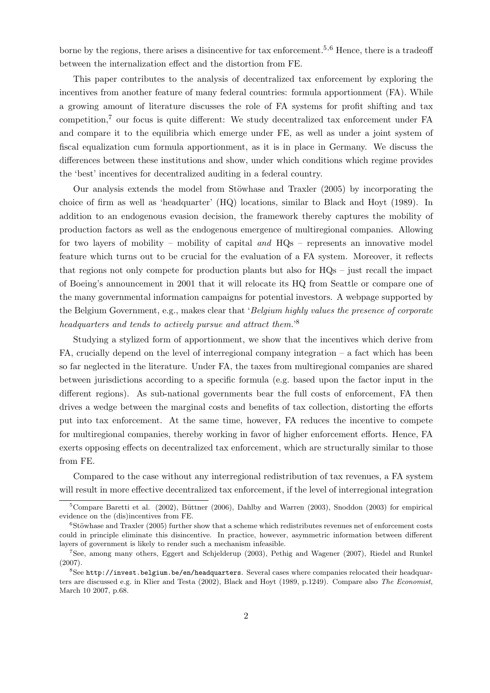borne by the regions, there arises a disincentive for tax enforcement.<sup>5,6</sup> Hence, there is a tradeoff between the internalization effect and the distortion from FE.

This paper contributes to the analysis of decentralized tax enforcement by exploring the incentives from another feature of many federal countries: formula apportionment (FA). While a growing amount of literature discusses the role of FA systems for profit shifting and tax competition,<sup>7</sup> our focus is quite different: We study decentralized tax enforcement under FA and compare it to the equilibria which emerge under FE, as well as under a joint system of fiscal equalization cum formula apportionment, as it is in place in Germany. We discuss the differences between these institutions and show, under which conditions which regime provides the 'best' incentives for decentralized auditing in a federal country.

Our analysis extends the model from Stöwhase and Traxler (2005) by incorporating the choice of firm as well as 'headquarter' (HQ) locations, similar to Black and Hoyt (1989). In addition to an endogenous evasion decision, the framework thereby captures the mobility of production factors as well as the endogenous emergence of multiregional companies. Allowing for two layers of mobility – mobility of capital and  $HQs$  – represents an innovative model feature which turns out to be crucial for the evaluation of a FA system. Moreover, it reflects that regions not only compete for production plants but also for HQs – just recall the impact of Boeing's announcement in 2001 that it will relocate its HQ from Seattle or compare one of the many governmental information campaigns for potential investors. A webpage supported by the Belgium Government, e.g., makes clear that 'Belgium highly values the presence of corporate headquarters and tends to actively pursue and attract them.<sup>8</sup>

Studying a stylized form of apportionment, we show that the incentives which derive from FA, crucially depend on the level of interregional company integration – a fact which has been so far neglected in the literature. Under FA, the taxes from multiregional companies are shared between jurisdictions according to a specific formula (e.g. based upon the factor input in the different regions). As sub-national governments bear the full costs of enforcement, FA then drives a wedge between the marginal costs and benefits of tax collection, distorting the efforts put into tax enforcement. At the same time, however, FA reduces the incentive to compete for multiregional companies, thereby working in favor of higher enforcement efforts. Hence, FA exerts opposing effects on decentralized tax enforcement, which are structurally similar to those from FE.

Compared to the case without any interregional redistribution of tax revenues, a FA system will result in more effective decentralized tax enforcement, if the level of interregional integration

 $5$ Compare Baretti et al. (2002), Büttner (2006), Dahlby and Warren (2003), Snoddon (2003) for empirical evidence on the (dis)incentives from FE.

 $6$ Stöwhase and Traxler (2005) further show that a scheme which redistributes revenues net of enforcement costs could in principle eliminate this disincentive. In practice, however, asymmetric information between different layers of government is likely to render such a mechanism infeasible.

<sup>7</sup>See, among many others, Eggert and Schjelderup (2003), Pethig and Wagener (2007), Riedel and Runkel (2007).

<sup>8</sup>See http://invest.belgium.be/en/headquarters. Several cases where companies relocated their headquarters are discussed e.g. in Klier and Testa (2002), Black and Hoyt (1989, p.1249). Compare also The Economist, March 10 2007, p.68.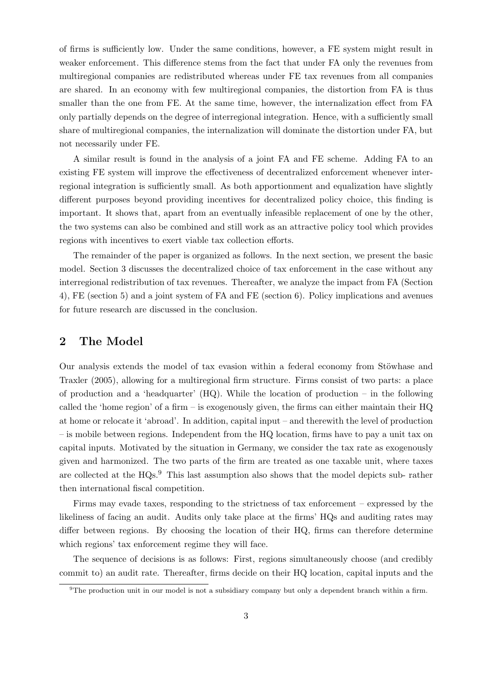of firms is sufficiently low. Under the same conditions, however, a FE system might result in weaker enforcement. This difference stems from the fact that under FA only the revenues from multiregional companies are redistributed whereas under FE tax revenues from all companies are shared. In an economy with few multiregional companies, the distortion from FA is thus smaller than the one from FE. At the same time, however, the internalization effect from FA only partially depends on the degree of interregional integration. Hence, with a sufficiently small share of multiregional companies, the internalization will dominate the distortion under FA, but not necessarily under FE.

A similar result is found in the analysis of a joint FA and FE scheme. Adding FA to an existing FE system will improve the effectiveness of decentralized enforcement whenever interregional integration is sufficiently small. As both apportionment and equalization have slightly different purposes beyond providing incentives for decentralized policy choice, this finding is important. It shows that, apart from an eventually infeasible replacement of one by the other, the two systems can also be combined and still work as an attractive policy tool which provides regions with incentives to exert viable tax collection efforts.

The remainder of the paper is organized as follows. In the next section, we present the basic model. Section 3 discusses the decentralized choice of tax enforcement in the case without any interregional redistribution of tax revenues. Thereafter, we analyze the impact from FA (Section 4), FE (section 5) and a joint system of FA and FE (section 6). Policy implications and avenues for future research are discussed in the conclusion.

## 2 The Model

Our analysis extends the model of tax evasion within a federal economy from Stöwhase and Traxler (2005), allowing for a multiregional firm structure. Firms consist of two parts: a place of production and a 'headquarter' (HQ). While the location of production – in the following called the 'home region' of a firm – is exogenously given, the firms can either maintain their HQ at home or relocate it 'abroad'. In addition, capital input – and therewith the level of production – is mobile between regions. Independent from the HQ location, firms have to pay a unit tax on capital inputs. Motivated by the situation in Germany, we consider the tax rate as exogenously given and harmonized. The two parts of the firm are treated as one taxable unit, where taxes are collected at the HQs.<sup>9</sup> This last assumption also shows that the model depicts sub- rather then international fiscal competition.

Firms may evade taxes, responding to the strictness of tax enforcement – expressed by the likeliness of facing an audit. Audits only take place at the firms' HQs and auditing rates may differ between regions. By choosing the location of their HQ, firms can therefore determine which regions' tax enforcement regime they will face.

The sequence of decisions is as follows: First, regions simultaneously choose (and credibly commit to) an audit rate. Thereafter, firms decide on their HQ location, capital inputs and the

<sup>9</sup>The production unit in our model is not a subsidiary company but only a dependent branch within a firm.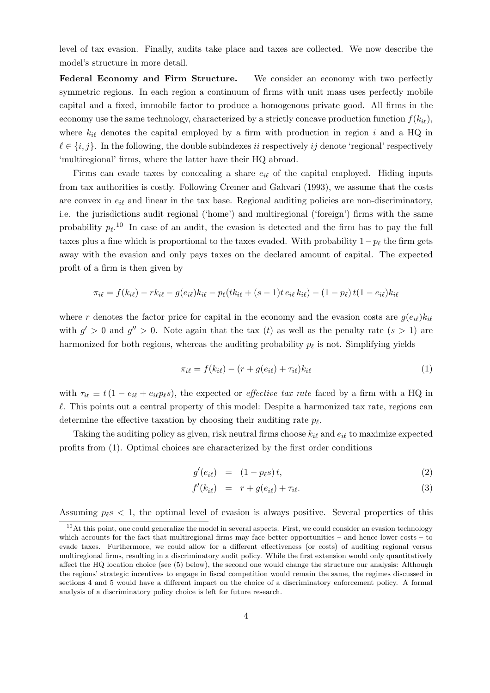level of tax evasion. Finally, audits take place and taxes are collected. We now describe the model's structure in more detail.

Federal Economy and Firm Structure. We consider an economy with two perfectly symmetric regions. In each region a continuum of firms with unit mass uses perfectly mobile capital and a fixed, immobile factor to produce a homogenous private good. All firms in the economy use the same technology, characterized by a strictly concave production function  $f(k_{i\ell}),$ where  $k_{i\ell}$  denotes the capital employed by a firm with production in region i and a HQ in  $\ell \in \{i, j\}$ . In the following, the double subindexes ii respectively ij denote 'regional' respectively 'multiregional' firms, where the latter have their HQ abroad.

Firms can evade taxes by concealing a share  $e_{i\ell}$  of the capital employed. Hiding inputs from tax authorities is costly. Following Cremer and Gahvari (1993), we assume that the costs are convex in  $e_{i\ell}$  and linear in the tax base. Regional auditing policies are non-discriminatory, i.e. the jurisdictions audit regional ('home') and multiregional ('foreign') firms with the same probability  $p_{\ell}$ <sup>10</sup>. In case of an audit, the evasion is detected and the firm has to pay the full taxes plus a fine which is proportional to the taxes evaded. With probability  $1-p_\ell$  the firm gets away with the evasion and only pays taxes on the declared amount of capital. The expected profit of a firm is then given by

$$
\pi_{i\ell} = f(k_{i\ell}) - rk_{i\ell} - g(e_{i\ell})k_{i\ell} - p_{\ell}(tk_{i\ell} + (s-1)t e_{i\ell} k_{i\ell}) - (1-p_{\ell}) t (1-e_{i\ell})k_{i\ell}
$$

where r denotes the factor price for capital in the economy and the evasion costs are  $g(e_{i\ell})k_{i\ell}$ with  $g' > 0$  and  $g'' > 0$ . Note again that the tax (t) as well as the penalty rate  $(s > 1)$  are harmonized for both regions, whereas the auditing probability  $p_\ell$  is not. Simplifying yields

$$
\pi_{i\ell} = f(k_{i\ell}) - (r + g(e_{i\ell}) + \tau_{i\ell})k_{i\ell}
$$
\n(1)

with  $\tau_{i\ell} \equiv t(1 - e_{i\ell} + e_{i\ell}p_{\ell}s)$ , the expected or *effective tax rate* faced by a firm with a HQ in  $\ell$ . This points out a central property of this model: Despite a harmonized tax rate, regions can determine the effective taxation by choosing their auditing rate  $p_{\ell}$ .

Taking the auditing policy as given, risk neutral firms choose  $k_{i\ell}$  and  $e_{i\ell}$  to maximize expected profits from (1). Optimal choices are characterized by the first order conditions

$$
g'(e_{i\ell}) = (1 - p_{\ell}s)t,
$$
\n<sup>(2)</sup>

$$
f'(k_{i\ell}) = r + g(e_{i\ell}) + \tau_{i\ell}.
$$
\n(3)

Assuming  $p \n\ell s < 1$ , the optimal level of evasion is always positive. Several properties of this

 $10$ At this point, one could generalize the model in several aspects. First, we could consider an evasion technology which accounts for the fact that multiregional firms may face better opportunities – and hence lower costs – to evade taxes. Furthermore, we could allow for a different effectiveness (or costs) of auditing regional versus multiregional firms, resulting in a discriminatory audit policy. While the first extension would only quantitatively affect the HQ location choice (see (5) below), the second one would change the structure our analysis: Although the regions' strategic incentives to engage in fiscal competition would remain the same, the regimes discussed in sections 4 and 5 would have a different impact on the choice of a discriminatory enforcement policy. A formal analysis of a discriminatory policy choice is left for future research.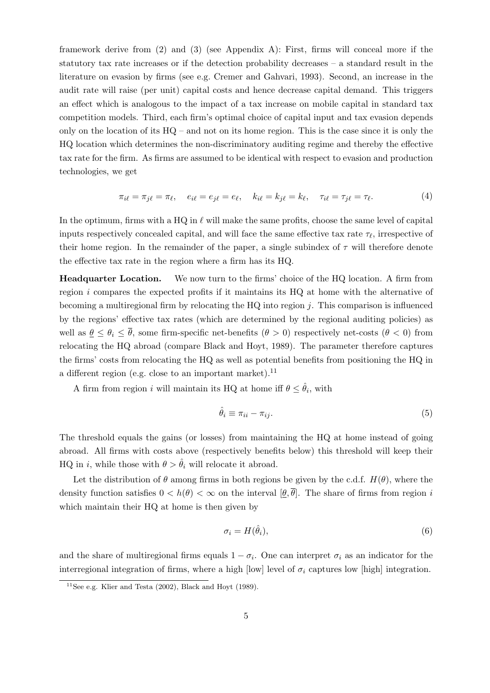framework derive from (2) and (3) (see Appendix A): First, firms will conceal more if the statutory tax rate increases or if the detection probability decreases – a standard result in the literature on evasion by firms (see e.g. Cremer and Gahvari, 1993). Second, an increase in the audit rate will raise (per unit) capital costs and hence decrease capital demand. This triggers an effect which is analogous to the impact of a tax increase on mobile capital in standard tax competition models. Third, each firm's optimal choice of capital input and tax evasion depends only on the location of its  $HQ -$  and not on its home region. This is the case since it is only the HQ location which determines the non-discriminatory auditing regime and thereby the effective tax rate for the firm. As firms are assumed to be identical with respect to evasion and production technologies, we get

$$
\pi_{i\ell} = \pi_{j\ell} = \pi_{\ell}, \quad e_{i\ell} = e_{j\ell} = e_{\ell}, \quad k_{i\ell} = k_{j\ell} = k_{\ell}, \quad \tau_{i\ell} = \tau_{j\ell} = \tau_{\ell}.
$$
 (4)

In the optimum, firms with a HQ in  $\ell$  will make the same profits, choose the same level of capital inputs respectively concealed capital, and will face the same effective tax rate  $\tau_{\ell}$ , irrespective of their home region. In the remainder of the paper, a single subindex of  $\tau$  will therefore denote the effective tax rate in the region where a firm has its HQ.

Headquarter Location. We now turn to the firms' choice of the HQ location. A firm from region i compares the expected profits if it maintains its HQ at home with the alternative of becoming a multiregional firm by relocating the  $HQ$  into region j. This comparison is influenced by the regions' effective tax rates (which are determined by the regional auditing policies) as well as  $\theta \leq \theta_i \leq \overline{\theta}$ , some firm-specific net-benefits  $(\theta > 0)$  respectively net-costs  $(\theta < 0)$  from relocating the HQ abroad (compare Black and Hoyt, 1989). The parameter therefore captures the firms' costs from relocating the HQ as well as potential benefits from positioning the HQ in a different region (e.g. close to an important market).<sup>11</sup>

A firm from region i will maintain its HQ at home iff  $\theta \leq \hat{\theta}_i$ , with

$$
\hat{\theta}_i \equiv \pi_{ii} - \pi_{ij}.\tag{5}
$$

The threshold equals the gains (or losses) from maintaining the HQ at home instead of going abroad. All firms with costs above (respectively benefits below) this threshold will keep their HQ in i, while those with  $\theta > \hat{\theta}_i$  will relocate it abroad.

Let the distribution of  $\theta$  among firms in both regions be given by the c.d.f.  $H(\theta)$ , where the density function satisfies  $0 < h(\theta) < \infty$  on the interval  $[\theta, \overline{\theta}]$ . The share of firms from region i which maintain their HQ at home is then given by

$$
\sigma_i = H(\hat{\theta}_i),\tag{6}
$$

and the share of multiregional firms equals  $1 - \sigma_i$ . One can interpret  $\sigma_i$  as an indicator for the interregional integration of firms, where a high [low] level of  $\sigma_i$  captures low [high] integration.

<sup>&</sup>lt;sup>11</sup>See e.g. Klier and Testa (2002), Black and Hoyt (1989).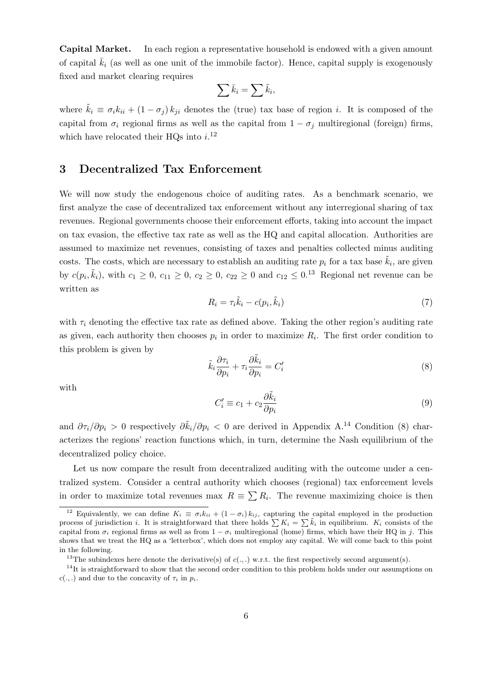Capital Market. In each region a representative household is endowed with a given amount of capital  $\bar{k}_i$  (as well as one unit of the immobile factor). Hence, capital supply is exogenously fixed and market clearing requires

$$
\sum \bar{k}_i = \sum \tilde{k}_i,
$$

where  $\tilde{k}_i \equiv \sigma_i k_{ii} + (1 - \sigma_j) k_{ji}$  denotes the (true) tax base of region i. It is composed of the capital from  $\sigma_i$  regional firms as well as the capital from  $1 - \sigma_i$  multiregional (foreign) firms, which have relocated their HQs into  $i$ .<sup>12</sup>

## 3 Decentralized Tax Enforcement

We will now study the endogenous choice of auditing rates. As a benchmark scenario, we first analyze the case of decentralized tax enforcement without any interregional sharing of tax revenues. Regional governments choose their enforcement efforts, taking into account the impact on tax evasion, the effective tax rate as well as the HQ and capital allocation. Authorities are assumed to maximize net revenues, consisting of taxes and penalties collected minus auditing costs. The costs, which are necessary to establish an auditing rate  $p_i$  for a tax base  $\tilde{k}_i$ , are given by  $c(p_i, \tilde{k}_i)$ , with  $c_1 \geq 0$ ,  $c_{11} \geq 0$ ,  $c_2 \geq 0$ ,  $c_{22} \geq 0$  and  $c_{12} \leq 0$ .<sup>13</sup> Regional net revenue can be written as

$$
R_i = \tau_i \tilde{k}_i - c(p_i, \tilde{k}_i)
$$
\n<sup>(7)</sup>

with  $\tau_i$  denoting the effective tax rate as defined above. Taking the other region's auditing rate as given, each authority then chooses  $p_i$  in order to maximize  $R_i$ . The first order condition to this problem is given by

$$
\tilde{k}_i \frac{\partial \tau_i}{\partial p_i} + \tau_i \frac{\partial \tilde{k}_i}{\partial p_i} = C'_i \tag{8}
$$

with

$$
C_i' \equiv c_1 + c_2 \frac{\partial \tilde{k}_i}{\partial p_i} \tag{9}
$$

and  $\partial \tau_i/\partial p_i > 0$  respectively  $\partial \tilde{k}_i/\partial p_i < 0$  are derived in Appendix A.<sup>14</sup> Condition (8) characterizes the regions' reaction functions which, in turn, determine the Nash equilibrium of the decentralized policy choice.

Let us now compare the result from decentralized auditing with the outcome under a centralized system. Consider a central authority which chooses (regional) tax enforcement levels in order to maximize total revenues max  $R = \sum R_i$ . The revenue maximizing choice is then

<sup>&</sup>lt;sup>12</sup> Equivalently, we can define  $K_i \equiv \sigma_i k_{ii} + (1 - \sigma_i) k_{ij}$ , capturing the capital employed in the production process of jurisdiction *i*. It is straightforward that there holds  $\sum K_i = \sum \tilde{k}_i$  in equilibrium.  $K_i$  consists of the capital from  $\sigma_i$  regional firms as well as from  $1 - \sigma_i$  multiregional (home) firms, which have their HQ in j. This shows that we treat the HQ as a 'letterbox', which does not employ any capital. We will come back to this point in the following.

<sup>&</sup>lt;sup>13</sup>The subindexes here denote the derivative(s) of  $c(.,.)$  w.r.t. the first respectively second argument(s).

 $14$ It is straightforward to show that the second order condition to this problem holds under our assumptions on  $c(.,.)$  and due to the concavity of  $\tau_i$  in  $p_i$ .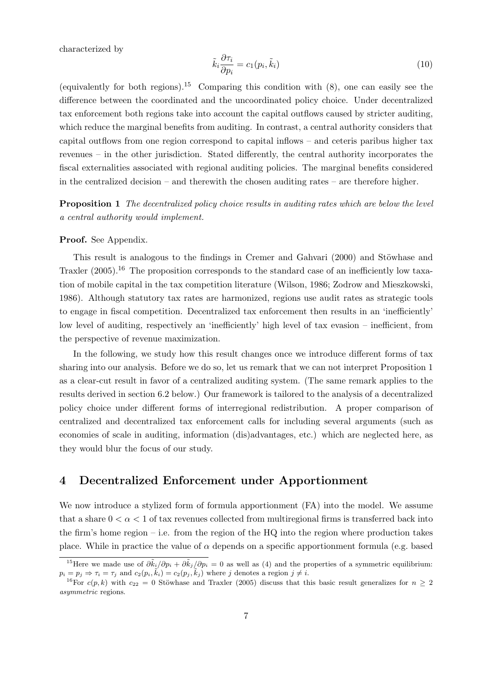characterized by

$$
\tilde{k}_i \frac{\partial \tau_i}{\partial p_i} = c_1(p_i, \tilde{k}_i)
$$
\n(10)

(equivalently for both regions).<sup>15</sup> Comparing this condition with  $(8)$ , one can easily see the difference between the coordinated and the uncoordinated policy choice. Under decentralized tax enforcement both regions take into account the capital outflows caused by stricter auditing, which reduce the marginal benefits from auditing. In contrast, a central authority considers that capital outflows from one region correspond to capital inflows – and ceteris paribus higher tax revenues – in the other jurisdiction. Stated differently, the central authority incorporates the fiscal externalities associated with regional auditing policies. The marginal benefits considered in the centralized decision – and therewith the chosen auditing rates – are therefore higher.

**Proposition 1** The decentralized policy choice results in auditing rates which are below the level a central authority would implement.

Proof. See Appendix.

This result is analogous to the findings in Cremer and Gahvari (2000) and Stöwhase and Traxler  $(2005)$ .<sup>16</sup> The proposition corresponds to the standard case of an inefficiently low taxation of mobile capital in the tax competition literature (Wilson, 1986; Zodrow and Mieszkowski, 1986). Although statutory tax rates are harmonized, regions use audit rates as strategic tools to engage in fiscal competition. Decentralized tax enforcement then results in an 'inefficiently' low level of auditing, respectively an 'inefficiently' high level of tax evasion – inefficient, from the perspective of revenue maximization.

In the following, we study how this result changes once we introduce different forms of tax sharing into our analysis. Before we do so, let us remark that we can not interpret Proposition 1 as a clear-cut result in favor of a centralized auditing system. (The same remark applies to the results derived in section 6.2 below.) Our framework is tailored to the analysis of a decentralized policy choice under different forms of interregional redistribution. A proper comparison of centralized and decentralized tax enforcement calls for including several arguments (such as economies of scale in auditing, information (dis)advantages, etc.) which are neglected here, as they would blur the focus of our study.

## 4 Decentralized Enforcement under Apportionment

We now introduce a stylized form of formula apportionment (FA) into the model. We assume that a share  $0 < \alpha < 1$  of tax revenues collected from multiregional firms is transferred back into the firm's home region – i.e. from the region of the  $HQ$  into the region where production takes place. While in practice the value of  $\alpha$  depends on a specific apportionment formula (e.g. based

<sup>&</sup>lt;sup>15</sup>Here we made use of  $\partial \tilde{k}_i/\partial p_i + \partial \tilde{k}_j/\partial p_i = 0$  as well as (4) and the properties of a symmetric equilibrium:  $p_i = p_j \Rightarrow \tau_i = \tau_j$  and  $c_2(p_i, \tilde{k}_i) = c_2(p_j, \tilde{k}_j)$  where j denotes a region  $j \neq i$ .

<sup>&</sup>lt;sup>16</sup>For c(p, k) with c<sub>22</sub> = 0 Stöwhase and Traxler (2005) discuss that this basic result generalizes for  $n \geq 2$ asymmetric regions.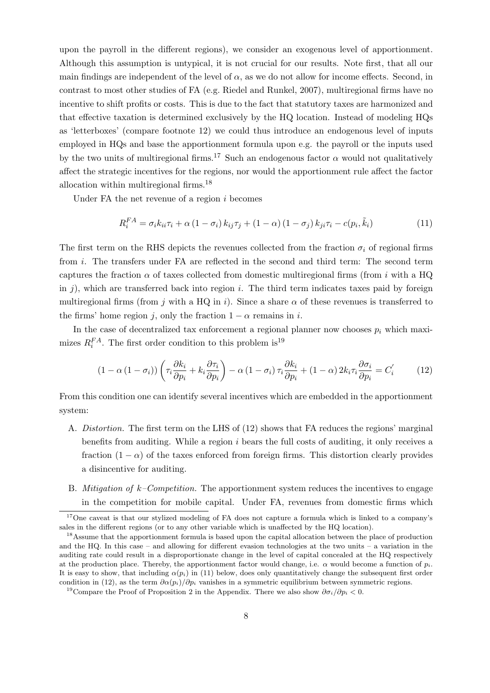upon the payroll in the different regions), we consider an exogenous level of apportionment. Although this assumption is untypical, it is not crucial for our results. Note first, that all our main findings are independent of the level of  $\alpha$ , as we do not allow for income effects. Second, in contrast to most other studies of FA (e.g. Riedel and Runkel, 2007), multiregional firms have no incentive to shift profits or costs. This is due to the fact that statutory taxes are harmonized and that effective taxation is determined exclusively by the HQ location. Instead of modeling HQs as 'letterboxes' (compare footnote 12) we could thus introduce an endogenous level of inputs employed in HQs and base the apportionment formula upon e.g. the payroll or the inputs used by the two units of multiregional firms.<sup>17</sup> Such an endogenous factor  $\alpha$  would not qualitatively affect the strategic incentives for the regions, nor would the apportionment rule affect the factor allocation within multiregional firms.<sup>18</sup>

Under FA the net revenue of a region  $i$  becomes

$$
R_i^{FA} = \sigma_i k_{ii} \tau_i + \alpha \left(1 - \sigma_i\right) k_{ij} \tau_j + \left(1 - \alpha\right) \left(1 - \sigma_j\right) k_{ji} \tau_i - c(p_i, \tilde{k}_i) \tag{11}
$$

The first term on the RHS depicts the revenues collected from the fraction  $\sigma_i$  of regional firms from i. The transfers under FA are reflected in the second and third term: The second term captures the fraction  $\alpha$  of taxes collected from domestic multiregional firms (from i with a HQ in  $j$ ), which are transferred back into region i. The third term indicates taxes paid by foreign multiregional firms (from j with a HQ in i). Since a share  $\alpha$  of these revenues is transferred to the firms' home region j, only the fraction  $1 - \alpha$  remains in i.

In the case of decentralized tax enforcement a regional planner now chooses  $p_i$  which maximizes  $R_i^{FA}$ . The first order condition to this problem is<sup>19</sup>

$$
(1 - \alpha (1 - \sigma_i)) \left( \tau_i \frac{\partial k_i}{\partial p_i} + k_i \frac{\partial \tau_i}{\partial p_i} \right) - \alpha (1 - \sigma_i) \tau_i \frac{\partial k_i}{\partial p_i} + (1 - \alpha) 2k_i \tau_i \frac{\partial \sigma_i}{\partial p_i} = C_i' \tag{12}
$$

From this condition one can identify several incentives which are embedded in the apportionment system:

- A. Distortion. The first term on the LHS of (12) shows that FA reduces the regions' marginal benefits from auditing. While a region  $i$  bears the full costs of auditing, it only receives a fraction  $(1 - \alpha)$  of the taxes enforced from foreign firms. This distortion clearly provides a disincentive for auditing.
- B. *Mitigation of k–Competition*. The apportionment system reduces the incentives to engage in the competition for mobile capital. Under FA, revenues from domestic firms which

<sup>&</sup>lt;sup>17</sup>One caveat is that our stylized modeling of FA does not capture a formula which is linked to a company's sales in the different regions (or to any other variable which is unaffected by the HQ location).

<sup>&</sup>lt;sup>18</sup>Assume that the apportionment formula is based upon the capital allocation between the place of production and the HQ. In this case – and allowing for different evasion technologies at the two units – a variation in the auditing rate could result in a disproportionate change in the level of capital concealed at the HQ respectively at the production place. Thereby, the apportionment factor would change, i.e.  $\alpha$  would become a function of  $p_i$ . It is easy to show, that including  $\alpha(p_i)$  in (11) below, does only quantitatively change the subsequent first order condition in (12), as the term  $\partial \alpha(p_i)/\partial p_i$  vanishes in a symmetric equilibrium between symmetric regions.

<sup>&</sup>lt;sup>19</sup>Compare the Proof of Proposition 2 in the Appendix. There we also show  $\partial \sigma_i/\partial p_i < 0$ .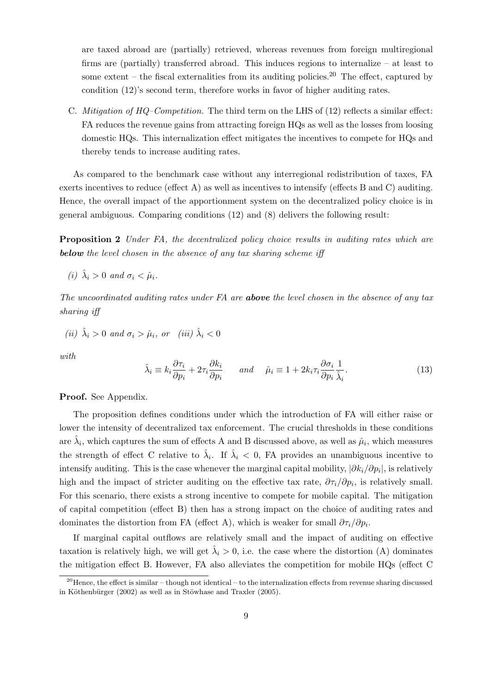are taxed abroad are (partially) retrieved, whereas revenues from foreign multiregional firms are (partially) transferred abroad. This induces regions to internalize – at least to some extent – the fiscal externalities from its auditing policies.<sup>20</sup> The effect, captured by condition (12)'s second term, therefore works in favor of higher auditing rates.

C. *Mitigation of HQ–Competition*. The third term on the LHS of  $(12)$  reflects a similar effect: FA reduces the revenue gains from attracting foreign HQs as well as the losses from loosing domestic HQs. This internalization effect mitigates the incentives to compete for HQs and thereby tends to increase auditing rates.

As compared to the benchmark case without any interregional redistribution of taxes, FA exerts incentives to reduce (effect A) as well as incentives to intensify (effects B and C) auditing. Hence, the overall impact of the apportionment system on the decentralized policy choice is in general ambiguous. Comparing conditions (12) and (8) delivers the following result:

Proposition 2 Under FA, the decentralized policy choice results in auditing rates which are below the level chosen in the absence of any tax sharing scheme iff

(i) 
$$
\hat{\lambda}_i > 0
$$
 and  $\sigma_i < \hat{\mu}_i$ .

The uncoordinated auditing rates under FA are **above** the level chosen in the absence of any tax sharing iff

(ii) 
$$
\hat{\lambda}_i > 0
$$
 and  $\sigma_i > \hat{\mu}_i$ , or (iii)  $\hat{\lambda}_i < 0$ 

with

$$
\hat{\lambda}_i \equiv k_i \frac{\partial \tau_i}{\partial p_i} + 2\tau_i \frac{\partial k_i}{\partial p_i} \quad \text{and} \quad \hat{\mu}_i \equiv 1 + 2k_i \tau_i \frac{\partial \sigma_i}{\partial p_i} \frac{1}{\hat{\lambda}_i}.\tag{13}
$$

Proof. See Appendix.

The proposition defines conditions under which the introduction of FA will either raise or lower the intensity of decentralized tax enforcement. The crucial thresholds in these conditions are  $\hat{\lambda}_i$ , which captures the sum of effects A and B discussed above, as well as  $\hat{\mu}_i$ , which measures the strength of effect C relative to  $\hat{\lambda}_i$ . If  $\hat{\lambda}_i < 0$ , FA provides an unambiguous incentive to intensify auditing. This is the case whenever the marginal capital mobility,  $|\partial k_i/\partial p_i|$ , is relatively high and the impact of stricter auditing on the effective tax rate,  $\partial \tau_i / \partial p_i$ , is relatively small. For this scenario, there exists a strong incentive to compete for mobile capital. The mitigation of capital competition (effect B) then has a strong impact on the choice of auditing rates and dominates the distortion from FA (effect A), which is weaker for small  $\partial \tau_i / \partial p_i$ .

If marginal capital outflows are relatively small and the impact of auditing on effective taxation is relatively high, we will get  $\hat{\lambda}_i > 0$ , i.e. the case where the distortion (A) dominates the mitigation effect B. However, FA also alleviates the competition for mobile HQs (effect C

 $^{20}$ Hence, the effect is similar – though not identical – to the internalization effects from revenue sharing discussed in Köthenbürger  $(2002)$  as well as in Stöwhase and Traxler  $(2005)$ .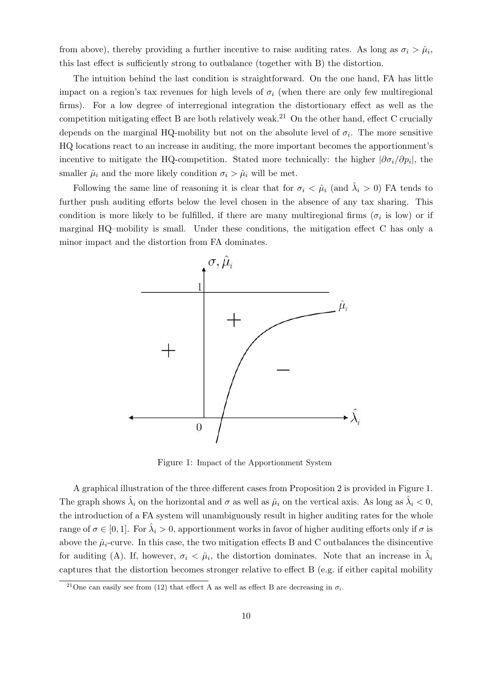from above), thereby providing a further incentive to raise auditing rates. As long as  $\sigma_i > \hat{\mu}_i$ , this last effect is sufficiently strong to outbalance (together with B) the distortion.

The intuition behind the last condition is straightforward. On the one hand, FA has little impact on a region's tax revenues for high levels of  $\sigma_i$  (when there are only few multiregional firms). For a low degree of interregional integration the distortionary effect as well as the competition mitigating effect B are both relatively weak.<sup>21</sup> On the other hand, effect C crucially depends on the marginal HQ-mobility but not on the absolute level of  $\sigma_i$ . The more sensitive HQ locations react to an increase in auditing, the more important becomes the apportionment's incentive to mitigate the HQ-competition. Stated more technically: the higher  $|\partial \sigma_i/\partial p_i|$ , the smaller  $\hat{\mu}_i$  and the more likely condition  $\sigma_i > \hat{\mu}_i$  will be met.

Following the same line of reasoning it is clear that for  $\sigma_i < \hat{\mu}_i$  (and  $\hat{\lambda}_i > 0$ ) FA tends to further push auditing efforts below the level chosen in the absence of any tax sharing. This condition is more likely to be fulfilled, if there are many multiregional firms  $(\sigma_i$  is low) or if marginal HQ–mobility is small. Under these conditions, the mitigation effect C has only a minor impact and the distortion from FA dominates.



Figure 1: Impact of the Apportionment System

A graphical illustration of the three different cases from Proposition 2 is provided in Figure 1. The graph shows  $\hat{\lambda}_i$  on the horizontal and  $\sigma$  as well as  $\hat{\mu}_i$  on the vertical axis. As long as  $\hat{\lambda}_i < 0$ , the introduction of a FA system will unambiguously result in higher auditing rates for the whole range of  $\sigma \in [0,1]$ . For  $\hat{\lambda}_i > 0$ , apportionment works in favor of higher auditing efforts only if  $\sigma$  is above the  $\hat{\mu}_i$ -curve. In this case, the two mitigation effects B and C outbalances the disincentive for auditing (A). If, however,  $\sigma_i < \hat{\mu}_i$ , the distortion dominates. Note that an increase in  $\hat{\lambda}_i$ captures that the distortion becomes stronger relative to effect B (e.g. if either capital mobility

<sup>&</sup>lt;sup>21</sup>One can easily see from (12) that effect A as well as effect B are decreasing in  $\sigma_i$ .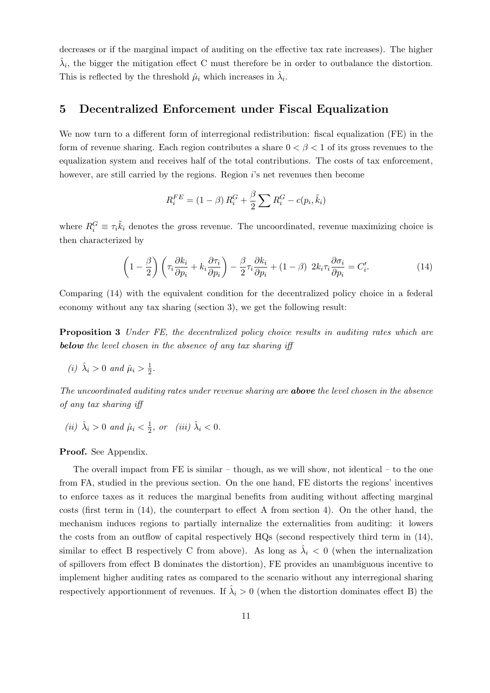decreases or if the marginal impact of auditing on the effective tax rate increases). The higher  $\hat{\lambda}_i$ , the bigger the mitigation effect C must therefore be in order to outbalance the distortion. This is reflected by the threshold  $\hat{\mu}_i$  which increases in  $\hat{\lambda}_i$ .

#### 5 Decentralized Enforcement under Fiscal Equalization

We now turn to a different form of interregional redistribution: fiscal equalization (FE) in the form of revenue sharing. Each region contributes a share  $0 < \beta < 1$  of its gross revenues to the equalization system and receives half of the total contributions. The costs of tax enforcement, however, are still carried by the regions. Region i's net revenues then become

$$
R_i^{FE} = (1 - \beta) R_i^G + \frac{\beta}{2} \sum R_i^G - c(p_i, \tilde{k}_i)
$$

where  $R_i^G \equiv \tau_i \tilde{k}_i$  denotes the gross revenue. The uncoordinated, revenue maximizing choice is then characterized by

$$
\left(1 - \frac{\beta}{2}\right)\left(\tau_i \frac{\partial k_i}{\partial p_i} + k_i \frac{\partial \tau_i}{\partial p_i}\right) - \frac{\beta}{2} \tau_i \frac{\partial k_i}{\partial p_i} + (1 - \beta) 2k_i \tau_i \frac{\partial \sigma_i}{\partial p_i} = C'_i.
$$
\n(14)

Comparing (14) with the equivalent condition for the decentralized policy choice in a federal economy without any tax sharing (section 3), we get the following result:

**Proposition 3** Under FE, the decentralized policy choice results in auditing rates which are below the level chosen in the absence of any tax sharing iff

(i)  $\hat{\lambda}_i > 0$  and  $\hat{\mu}_i > \frac{1}{2}$  $\frac{1}{2}$ .

The uncoordinated auditing rates under revenue sharing are **above** the level chosen in the absence of any tax sharing iff

(ii)  $\hat{\lambda}_i > 0$  and  $\hat{\mu}_i < \frac{1}{2}$  $\frac{1}{2}$ , or (iii)  $\hat{\lambda}_i < 0$ .

Proof. See Appendix.

The overall impact from FE is similar – though, as we will show, not identical – to the one from FA, studied in the previous section. On the one hand, FE distorts the regions' incentives to enforce taxes as it reduces the marginal benefits from auditing without affecting marginal costs (first term in  $(14)$ , the counterpart to effect A from section 4). On the other hand, the mechanism induces regions to partially internalize the externalities from auditing: it lowers the costs from an outflow of capital respectively HQs (second respectively third term in (14), similar to effect B respectively C from above). As long as  $\hat{\lambda}_i < 0$  (when the internalization of spillovers from effect B dominates the distortion), FE provides an unambiguous incentive to implement higher auditing rates as compared to the scenario without any interregional sharing respectively apportionment of revenues. If  $\hat{\lambda}_i > 0$  (when the distortion dominates effect B) the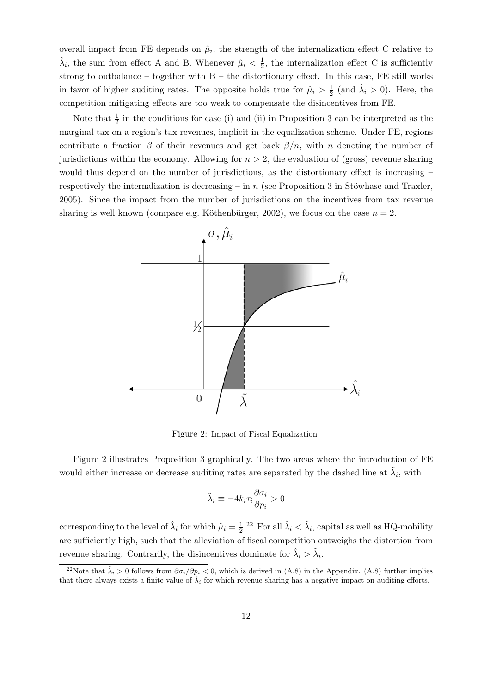overall impact from FE depends on  $\hat{\mu}_i$ , the strength of the internalization effect C relative to  $\hat{\lambda}_i$ , the sum from effect A and B. Whenever  $\hat{\mu}_i < \frac{1}{2}$  $\frac{1}{2}$ , the internalization effect C is sufficiently strong to outbalance – together with  $B$  – the distortionary effect. In this case, FE still works in favor of higher auditing rates. The opposite holds true for  $\hat{\mu}_i > \frac{1}{2}$  $\frac{1}{2}$  (and  $\hat{\lambda}_i > 0$ ). Here, the competition mitigating effects are too weak to compensate the disincentives from FE.

Note that  $\frac{1}{2}$  in the conditions for case (i) and (ii) in Proposition 3 can be interpreted as the marginal tax on a region's tax revenues, implicit in the equalization scheme. Under FE, regions contribute a fraction  $\beta$  of their revenues and get back  $\beta/n$ , with n denoting the number of jurisdictions within the economy. Allowing for  $n > 2$ , the evaluation of (gross) revenue sharing would thus depend on the number of jurisdictions, as the distortionary effect is increasing – respectively the internalization is decreasing – in n (see Proposition 3 in Stöwhase and Traxler, 2005). Since the impact from the number of jurisdictions on the incentives from tax revenue sharing is well known (compare e.g. Köthenbürger, 2002), we focus on the case  $n = 2$ .



Figure 2: Impact of Fiscal Equalization

Figure 2 illustrates Proposition 3 graphically. The two areas where the introduction of FE would either increase or decrease auditing rates are separated by the dashed line at  $\tilde{\lambda}_i$ , with

$$
\tilde{\lambda}_i \equiv -4k_i\tau_i\frac{\partial \sigma_i}{\partial p_i} > 0
$$

corresponding to the level of  $\hat{\lambda}_i$  for which  $\hat{\mu}_i = \frac{1}{2}$  $\frac{1}{2}$ .<sup>22</sup> For all  $\hat{\lambda}_i < \tilde{\lambda}_i$ , capital as well as HQ-mobility are sufficiently high, such that the alleviation of fiscal competition outweighs the distortion from revenue sharing. Contrarily, the disincentives dominate for  $\hat{\lambda}_i > \tilde{\lambda}_i$ .

<sup>&</sup>lt;sup>22</sup>Note that  $\tilde{\lambda}_i > 0$  follows from  $\partial \sigma_i/\partial p_i < 0$ , which is derived in (A.8) in the Appendix. (A.8) further implies that there always exists a finite value of  $\hat{\lambda}_i$  for which revenue sharing has a negative impact on auditing efforts.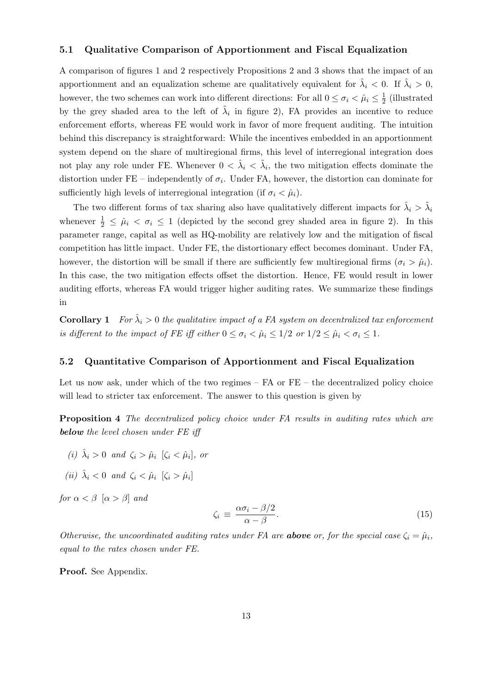#### 5.1 Qualitative Comparison of Apportionment and Fiscal Equalization

A comparison of figures 1 and 2 respectively Propositions 2 and 3 shows that the impact of an apportionment and an equalization scheme are qualitatively equivalent for  $\hat{\lambda}_i < 0$ . If  $\hat{\lambda}_i > 0$ , however, the two schemes can work into different directions: For all  $0 \leq \sigma_i < \hat{\mu}_i \leq \frac{1}{2}$  $\frac{1}{2}$  (illustrated by the grey shaded area to the left of  $\tilde{\lambda}_i$  in figure 2), FA provides an incentive to reduce enforcement efforts, whereas FE would work in favor of more frequent auditing. The intuition behind this discrepancy is straightforward: While the incentives embedded in an apportionment system depend on the share of multiregional firms, this level of interregional integration does not play any role under FE. Whenever  $0 < \hat{\lambda}_i < \tilde{\lambda}_i$ , the two mitigation effects dominate the distortion under FE – independently of  $\sigma_i$ . Under FA, however, the distortion can dominate for sufficiently high levels of interregional integration (if  $\sigma_i < \hat{\mu}_i$ ).

The two different forms of tax sharing also have qualitatively different impacts for  $\hat{\lambda}_i > \tilde{\lambda}_i$ whenever  $\frac{1}{2} \leq \hat{\mu}_i < \sigma_i \leq 1$  (depicted by the second grey shaded area in figure 2). In this parameter range, capital as well as HQ-mobility are relatively low and the mitigation of fiscal competition has little impact. Under FE, the distortionary effect becomes dominant. Under FA, however, the distortion will be small if there are sufficiently few multiregional firms  $(\sigma_i > \hat{\mu}_i)$ . In this case, the two mitigation effects offset the distortion. Hence, FE would result in lower auditing efforts, whereas FA would trigger higher auditing rates. We summarize these findings in

**Corollary 1** For  $\hat{\lambda}_i > 0$  the qualitative impact of a FA system on decentralized tax enforcement is different to the impact of FE iff either  $0 \leq \sigma_i < \hat{\mu}_i \leq 1/2$  or  $1/2 \leq \hat{\mu}_i < \sigma_i \leq 1$ .

#### 5.2 Quantitative Comparison of Apportionment and Fiscal Equalization

Let us now ask, under which of the two regimes – FA or FE – the decentralized policy choice will lead to stricter tax enforcement. The answer to this question is given by

Proposition 4 The decentralized policy choice under FA results in auditing rates which are below the level chosen under FE iff

- (i)  $\hat{\lambda}_i > 0$  and  $\zeta_i > \hat{\mu}_i$  [ $\zeta_i < \hat{\mu}_i$ ], or
- (ii)  $\hat{\lambda}_i < 0$  and  $\zeta_i < \hat{\mu}_i$   $[\zeta_i > \hat{\mu}_i]$

for  $\alpha < \beta$  [ $\alpha > \beta$ ] and

$$
\zeta_i \equiv \frac{\alpha \sigma_i - \beta/2}{\alpha - \beta}.
$$
\n(15)

Otherwise, the uncoordinated auditing rates under FA are **above** or, for the special case  $\zeta_i = \hat{\mu}_i$ , equal to the rates chosen under FE.

Proof. See Appendix.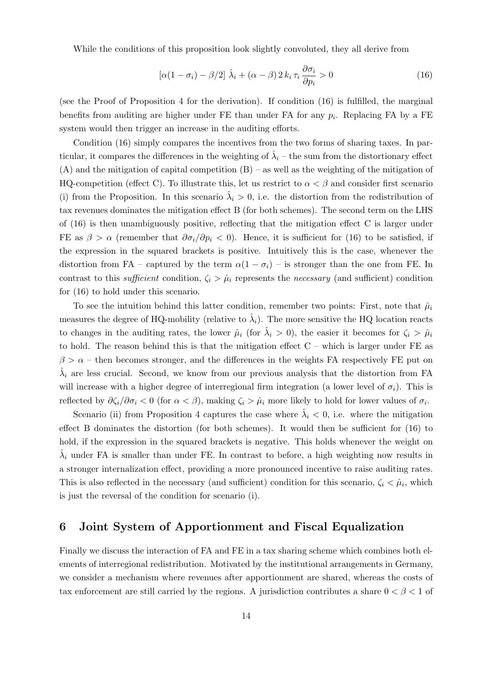While the conditions of this proposition look slightly convoluted, they all derive from

$$
\left[\alpha(1-\sigma_i)-\beta/2\right]\hat{\lambda}_i + \left(\alpha-\beta\right)2k_i\,\tau_i\,\frac{\partial\sigma_i}{\partial p_i} > 0\tag{16}
$$

(see the Proof of Proposition 4 for the derivation). If condition (16) is fulfilled, the marginal benefits from auditing are higher under FE than under FA for any  $p_i$ . Replacing FA by a FE system would then trigger an increase in the auditing efforts.

Condition (16) simply compares the incentives from the two forms of sharing taxes. In particular, it compares the differences in the weighting of  $\hat{\lambda}_i$  – the sum from the distortionary effect  $(A)$  and the mitigation of capital competition  $(B)$  – as well as the weighting of the mitigation of HQ-competition (effect C). To illustrate this, let us restrict to  $\alpha < \beta$  and consider first scenario (i) from the Proposition. In this scenario  $\hat{\lambda}_i > 0$ , i.e. the distortion from the redistribution of tax revenues dominates the mitigation effect B (for both schemes). The second term on the LHS of  $(16)$  is then unambiguously positive, reflecting that the mitigation effect C is larger under FE as  $\beta > \alpha$  (remember that  $\partial \sigma_i/\partial p_i < 0$ ). Hence, it is sufficient for (16) to be satisfied, if the expression in the squared brackets is positive. Intuitively this is the case, whenever the distortion from FA – captured by the term  $\alpha(1 - \sigma_i)$  – is stronger than the one from FE. In contrast to this sufficient condition,  $\zeta_i > \hat{\mu}_i$  represents the necessary (and sufficient) condition for (16) to hold under this scenario.

To see the intuition behind this latter condition, remember two points: First, note that  $\hat{\mu}_i$ measures the degree of HQ-mobility (relative to  $\hat{\lambda}_i$ ). The more sensitive the HQ location reacts to changes in the auditing rates, the lower  $\hat{\mu}_i$  (for  $\hat{\lambda}_i > 0$ ), the easier it becomes for  $\zeta_i > \hat{\mu}_i$ to hold. The reason behind this is that the mitigation effect  $C$  – which is larger under  $FE$  as  $\beta > \alpha$  – then becomes stronger, and the differences in the weights FA respectively FE put on  $\hat{\lambda}_i$  are less crucial. Second, we know from our previous analysis that the distortion from FA will increase with a higher degree of interregional firm integration (a lower level of  $\sigma_i$ ). This is reflected by  $\partial \zeta_i/\partial \sigma_i < 0$  (for  $\alpha < \beta$ ), making  $\zeta_i > \hat{\mu}_i$  more likely to hold for lower values of  $\sigma_i$ .

Scenario (ii) from Proposition 4 captures the case where  $\hat{\lambda}_i < 0$ , i.e. where the mitigation effect B dominates the distortion (for both schemes). It would then be sufficient for (16) to hold, if the expression in the squared brackets is negative. This holds whenever the weight on  $\hat{\lambda}_i$  under FA is smaller than under FE. In contrast to before, a high weighting now results in a stronger internalization effect, providing a more pronounced incentive to raise auditing rates. This is also reflected in the necessary (and sufficient) condition for this scenario,  $\zeta_i < \hat{\mu}_i$ , which is just the reversal of the condition for scenario (i).

## 6 Joint System of Apportionment and Fiscal Equalization

Finally we discuss the interaction of FA and FE in a tax sharing scheme which combines both elements of interregional redistribution. Motivated by the institutional arrangements in Germany, we consider a mechanism where revenues after apportionment are shared, whereas the costs of tax enforcement are still carried by the regions. A jurisdiction contributes a share  $0 < \beta < 1$  of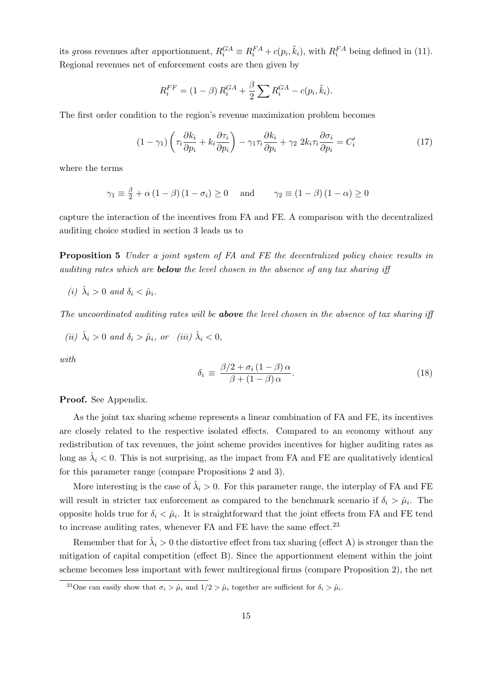its gross revenues after apportionment,  $R_i^{GA} \equiv R_i^{FA} + c(p_i, \tilde{k}_i)$ , with  $R_i^{FA}$  being defined in (11). Regional revenues net of enforcement costs are then given by

$$
R_i^{FF} = (1 - \beta) R_i^{GA} + \frac{\beta}{2} \sum R_i^{GA} - c(p_i, \tilde{k}_i).
$$

The first order condition to the region's revenue maximization problem becomes

$$
(1 - \gamma_1) \left( \tau_i \frac{\partial k_i}{\partial p_i} + k_i \frac{\partial \tau_i}{\partial p_i} \right) - \gamma_1 \tau_i \frac{\partial k_i}{\partial p_i} + \gamma_2 \ 2k_i \tau_i \frac{\partial \sigma_i}{\partial p_i} = C'_i \tag{17}
$$

where the terms

$$
\gamma_1 \equiv \frac{\beta}{2} + \alpha (1 - \beta) (1 - \sigma_i) \ge 0 \quad \text{and} \quad \gamma_2 \equiv (1 - \beta) (1 - \alpha) \ge 0
$$

capture the interaction of the incentives from FA and FE. A comparison with the decentralized auditing choice studied in section 3 leads us to

Proposition 5 Under a joint system of FA and FE the decentralized policy choice results in auditing rates which are **below** the level chosen in the absence of any tax sharing iff

(i)  $\hat{\lambda}_i > 0$  and  $\delta_i < \hat{\mu}_i$ .

The uncoordinated auditing rates will be **above** the level chosen in the absence of tax sharing iff

(ii) 
$$
\hat{\lambda}_i > 0
$$
 and  $\delta_i > \hat{\mu}_i$ , or (iii)  $\hat{\lambda}_i < 0$ ,

with

$$
\delta_i \equiv \frac{\beta/2 + \sigma_i (1 - \beta) \alpha}{\beta + (1 - \beta) \alpha}.
$$
\n(18)

Proof. See Appendix.

As the joint tax sharing scheme represents a linear combination of FA and FE, its incentives are closely related to the respective isolated effects. Compared to an economy without any redistribution of tax revenues, the joint scheme provides incentives for higher auditing rates as long as  $\hat{\lambda}_i < 0$ . This is not surprising, as the impact from FA and FE are qualitatively identical for this parameter range (compare Propositions 2 and 3).

More interesting is the case of  $\hat{\lambda}_i > 0$ . For this parameter range, the interplay of FA and FE will result in stricter tax enforcement as compared to the benchmark scenario if  $\delta_i > \hat{\mu}_i$ . The opposite holds true for  $\delta_i < \hat{\mu}_i$ . It is straightforward that the joint effects from FA and FE tend to increase auditing rates, whenever FA and FE have the same effect. $23$ 

Remember that for  $\hat{\lambda}_i > 0$  the distortive effect from tax sharing (effect A) is stronger than the mitigation of capital competition (effect B). Since the apportionment element within the joint scheme becomes less important with fewer multiregional firms (compare Proposition 2), the net

<sup>&</sup>lt;sup>23</sup>One can easily show that  $\sigma_i > \hat{\mu}_i$  and  $1/2 > \hat{\mu}_i$  together are sufficient for  $\delta_i > \hat{\mu}_i$ .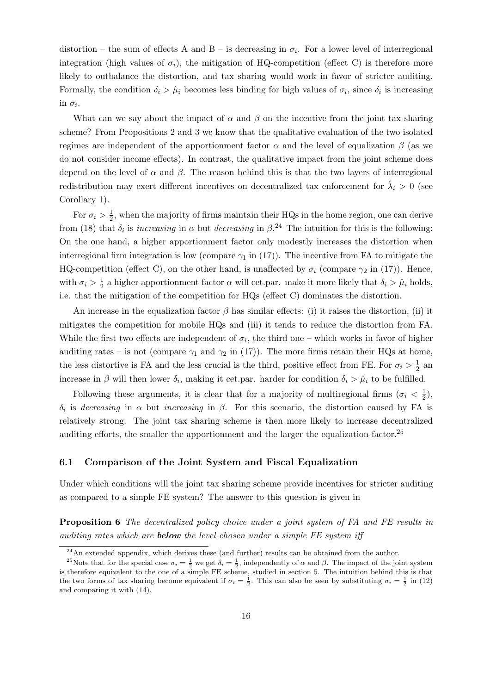distortion – the sum of effects A and B – is decreasing in  $\sigma_i$ . For a lower level of interregional integration (high values of  $\sigma_i$ ), the mitigation of HQ-competition (effect C) is therefore more likely to outbalance the distortion, and tax sharing would work in favor of stricter auditing. Formally, the condition  $\delta_i > \hat{\mu}_i$  becomes less binding for high values of  $\sigma_i$ , since  $\delta_i$  is increasing in  $\sigma_i$ .

What can we say about the impact of  $\alpha$  and  $\beta$  on the incentive from the joint tax sharing scheme? From Propositions 2 and 3 we know that the qualitative evaluation of the two isolated regimes are independent of the apportionment factor  $\alpha$  and the level of equalization  $\beta$  (as we do not consider income effects). In contrast, the qualitative impact from the joint scheme does depend on the level of  $\alpha$  and  $\beta$ . The reason behind this is that the two layers of interregional redistribution may exert different incentives on decentralized tax enforcement for  $\hat{\lambda}_i > 0$  (see Corollary 1).

For  $\sigma_i > \frac{1}{2}$  $\frac{1}{2}$ , when the majority of firms maintain their HQs in the home region, one can derive from (18) that  $\delta_i$  is *increasing* in  $\alpha$  but *decreasing* in  $\beta$ <sup>24</sup> The intuition for this is the following: On the one hand, a higher apportionment factor only modestly increases the distortion when interregional firm integration is low (compare  $\gamma_1$  in (17)). The incentive from FA to mitigate the HQ-competition (effect C), on the other hand, is unaffected by  $\sigma_i$  (compare  $\gamma_2$  in (17)). Hence, with  $\sigma_i > \frac{1}{2}$  $\frac{1}{2}$  a higher apportionment factor  $\alpha$  will cet.par. make it more likely that  $\delta_i > \hat{\mu}_i$  holds, i.e. that the mitigation of the competition for HQs (effect C) dominates the distortion.

An increase in the equalization factor  $\beta$  has similar effects: (i) it raises the distortion, (ii) it mitigates the competition for mobile HQs and (iii) it tends to reduce the distortion from FA. While the first two effects are independent of  $\sigma_i$ , the third one – which works in favor of higher auditing rates – is not (compare  $\gamma_1$  and  $\gamma_2$  in (17)). The more firms retain their HQs at home, the less distortive is FA and the less crucial is the third, positive effect from FE. For  $\sigma_i > \frac{1}{2}$  $rac{1}{2}$  an increase in  $\beta$  will then lower  $\delta_i$ , making it cet.par. harder for condition  $\delta_i > \hat{\mu}_i$  to be fulfilled.

Following these arguments, it is clear that for a majority of multiregional firms  $(\sigma_i < \frac{1}{2})$  $(\frac{1}{2}),$ δ<sub>i</sub> is decreasing in  $\alpha$  but increasing in  $\beta$ . For this scenario, the distortion caused by FA is relatively strong. The joint tax sharing scheme is then more likely to increase decentralized auditing efforts, the smaller the apportionment and the larger the equalization factor.<sup>25</sup>

#### 6.1 Comparison of the Joint System and Fiscal Equalization

Under which conditions will the joint tax sharing scheme provide incentives for stricter auditing as compared to a simple FE system? The answer to this question is given in

Proposition 6 The decentralized policy choice under a joint system of FA and FE results in auditing rates which are **below** the level chosen under a simple FE system iff

 $24$ An extended appendix, which derives these (and further) results can be obtained from the author.

<sup>&</sup>lt;sup>25</sup>Note that for the special case  $\sigma_i = \frac{1}{2}$  we get  $\delta_i = \frac{1}{2}$ , independently of  $\alpha$  and  $\beta$ . The impact of the joint system is therefore equivalent to the one of a simple FE scheme, studied in section 5. The intuition behind this is that the two forms of tax sharing become equivalent if  $\sigma_i = \frac{1}{2}$ . This can also be seen by substituting  $\sigma_i = \frac{1}{2}$  in (12) and comparing it with (14).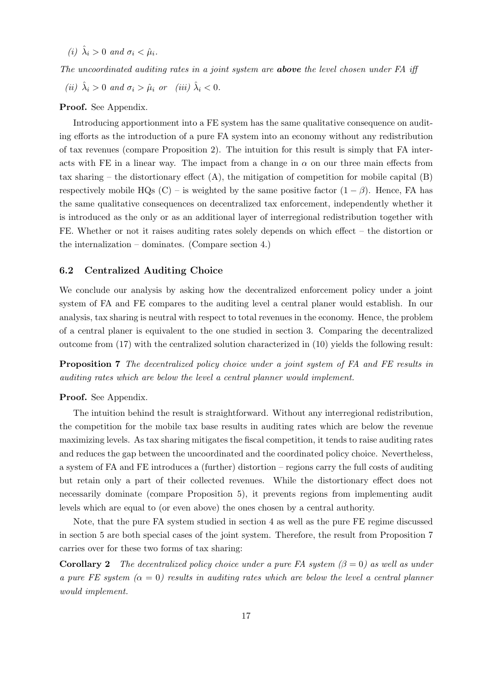(i)  $\hat{\lambda}_i > 0$  and  $\sigma_i < \hat{\mu}_i$ .

The uncoordinated auditing rates in a joint system are **above** the level chosen under FA iff

(ii)  $\hat{\lambda}_i > 0$  and  $\sigma_i > \hat{\mu}_i$  or (iii)  $\hat{\lambda}_i < 0$ .

#### Proof. See Appendix.

Introducing apportionment into a FE system has the same qualitative consequence on auditing efforts as the introduction of a pure FA system into an economy without any redistribution of tax revenues (compare Proposition 2). The intuition for this result is simply that FA interacts with FE in a linear way. The impact from a change in  $\alpha$  on our three main effects from tax sharing – the distortionary effect  $(A)$ , the mitigation of competition for mobile capital  $(B)$ respectively mobile HQs (C) – is weighted by the same positive factor  $(1 - \beta)$ . Hence, FA has the same qualitative consequences on decentralized tax enforcement, independently whether it is introduced as the only or as an additional layer of interregional redistribution together with FE. Whether or not it raises auditing rates solely depends on which effect – the distortion or the internalization – dominates. (Compare section 4.)

#### 6.2 Centralized Auditing Choice

We conclude our analysis by asking how the decentralized enforcement policy under a joint system of FA and FE compares to the auditing level a central planer would establish. In our analysis, tax sharing is neutral with respect to total revenues in the economy. Hence, the problem of a central planer is equivalent to the one studied in section 3. Comparing the decentralized outcome from (17) with the centralized solution characterized in (10) yields the following result:

Proposition 7 The decentralized policy choice under a joint system of FA and FE results in auditing rates which are below the level a central planner would implement.

#### Proof. See Appendix.

The intuition behind the result is straightforward. Without any interregional redistribution, the competition for the mobile tax base results in auditing rates which are below the revenue maximizing levels. As tax sharing mitigates the fiscal competition, it tends to raise auditing rates and reduces the gap between the uncoordinated and the coordinated policy choice. Nevertheless, a system of FA and FE introduces a (further) distortion – regions carry the full costs of auditing but retain only a part of their collected revenues. While the distortionary effect does not necessarily dominate (compare Proposition 5), it prevents regions from implementing audit levels which are equal to (or even above) the ones chosen by a central authority.

Note, that the pure FA system studied in section 4 as well as the pure FE regime discussed in section 5 are both special cases of the joint system. Therefore, the result from Proposition 7 carries over for these two forms of tax sharing:

**Corollary 2** The decentralized policy choice under a pure FA system  $(\beta = 0)$  as well as under a pure FE system  $(\alpha = 0)$  results in auditing rates which are below the level a central planner would implement.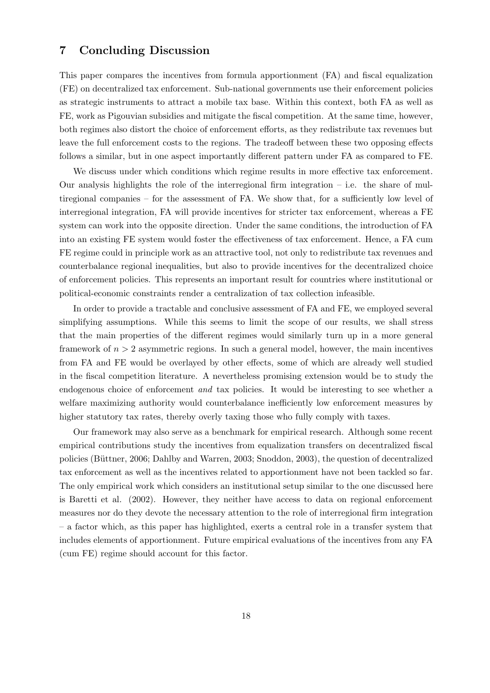#### 7 Concluding Discussion

This paper compares the incentives from formula apportionment (FA) and fiscal equalization (FE) on decentralized tax enforcement. Sub-national governments use their enforcement policies as strategic instruments to attract a mobile tax base. Within this context, both FA as well as FE, work as Pigouvian subsidies and mitigate the fiscal competition. At the same time, however, both regimes also distort the choice of enforcement efforts, as they redistribute tax revenues but leave the full enforcement costs to the regions. The tradeoff between these two opposing effects follows a similar, but in one aspect importantly different pattern under FA as compared to FE.

We discuss under which conditions which regime results in more effective tax enforcement. Our analysis highlights the role of the interregional firm integration  $-$  i.e. the share of multiregional companies – for the assessment of FA. We show that, for a sufficiently low level of interregional integration, FA will provide incentives for stricter tax enforcement, whereas a FE system can work into the opposite direction. Under the same conditions, the introduction of FA into an existing FE system would foster the effectiveness of tax enforcement. Hence, a FA cum FE regime could in principle work as an attractive tool, not only to redistribute tax revenues and counterbalance regional inequalities, but also to provide incentives for the decentralized choice of enforcement policies. This represents an important result for countries where institutional or political-economic constraints render a centralization of tax collection infeasible.

In order to provide a tractable and conclusive assessment of FA and FE, we employed several simplifying assumptions. While this seems to limit the scope of our results, we shall stress that the main properties of the different regimes would similarly turn up in a more general framework of  $n > 2$  asymmetric regions. In such a general model, however, the main incentives from FA and FE would be overlayed by other effects, some of which are already well studied in the fiscal competition literature. A nevertheless promising extension would be to study the endogenous choice of enforcement and tax policies. It would be interesting to see whether a welfare maximizing authority would counterbalance inefficiently low enforcement measures by higher statutory tax rates, thereby overly taxing those who fully comply with taxes.

Our framework may also serve as a benchmark for empirical research. Although some recent empirical contributions study the incentives from equalization transfers on decentralized fiscal policies (Büttner, 2006; Dahlby and Warren, 2003; Snoddon, 2003), the question of decentralized tax enforcement as well as the incentives related to apportionment have not been tackled so far. The only empirical work which considers an institutional setup similar to the one discussed here is Baretti et al. (2002). However, they neither have access to data on regional enforcement measures nor do they devote the necessary attention to the role of interregional firm integration – a factor which, as this paper has highlighted, exerts a central role in a transfer system that includes elements of apportionment. Future empirical evaluations of the incentives from any FA (cum FE) regime should account for this factor.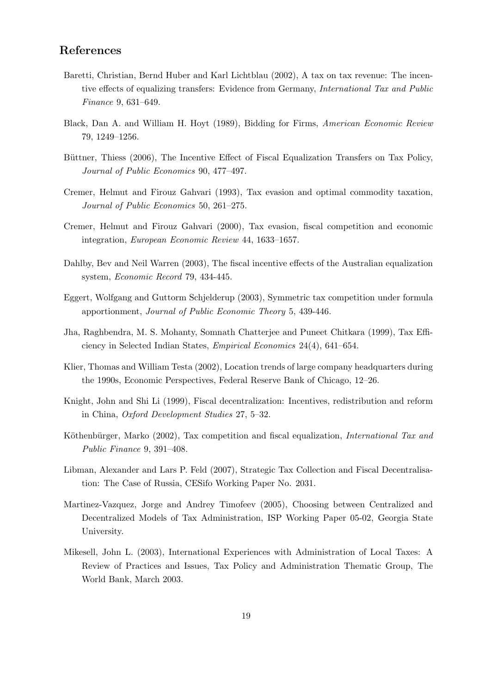## References

- Baretti, Christian, Bernd Huber and Karl Lichtblau (2002), A tax on tax revenue: The incentive effects of equalizing transfers: Evidence from Germany, International Tax and Public Finance 9, 631–649.
- Black, Dan A. and William H. Hoyt (1989), Bidding for Firms, American Economic Review 79, 1249–1256.
- Büttner, Thiess (2006), The Incentive Effect of Fiscal Equalization Transfers on Tax Policy, Journal of Public Economics 90, 477–497.
- Cremer, Helmut and Firouz Gahvari (1993), Tax evasion and optimal commodity taxation, Journal of Public Economics 50, 261–275.
- Cremer, Helmut and Firouz Gahvari (2000), Tax evasion, fiscal competition and economic integration, European Economic Review 44, 1633–1657.
- Dahlby, Bev and Neil Warren (2003), The fiscal incentive effects of the Australian equalization system, Economic Record 79, 434-445.
- Eggert, Wolfgang and Guttorm Schjelderup (2003), Symmetric tax competition under formula apportionment, Journal of Public Economic Theory 5, 439-446.
- Jha, Raghbendra, M. S. Mohanty, Somnath Chatterjee and Puneet Chitkara (1999), Tax Efficiency in Selected Indian States, Empirical Economics 24(4), 641–654.
- Klier, Thomas and William Testa (2002), Location trends of large company headquarters during the 1990s, Economic Perspectives, Federal Reserve Bank of Chicago, 12–26.
- Knight, John and Shi Li (1999), Fiscal decentralization: Incentives, redistribution and reform in China, Oxford Development Studies 27, 5–32.
- Köthenbürger, Marko (2002), Tax competition and fiscal equalization, *International Tax and* Public Finance 9, 391–408.
- Libman, Alexander and Lars P. Feld (2007), Strategic Tax Collection and Fiscal Decentralisation: The Case of Russia, CESifo Working Paper No. 2031.
- Martinez-Vazquez, Jorge and Andrey Timofeev (2005), Choosing between Centralized and Decentralized Models of Tax Administration, ISP Working Paper 05-02, Georgia State University.
- Mikesell, John L. (2003), International Experiences with Administration of Local Taxes: A Review of Practices and Issues, Tax Policy and Administration Thematic Group, The World Bank, March 2003.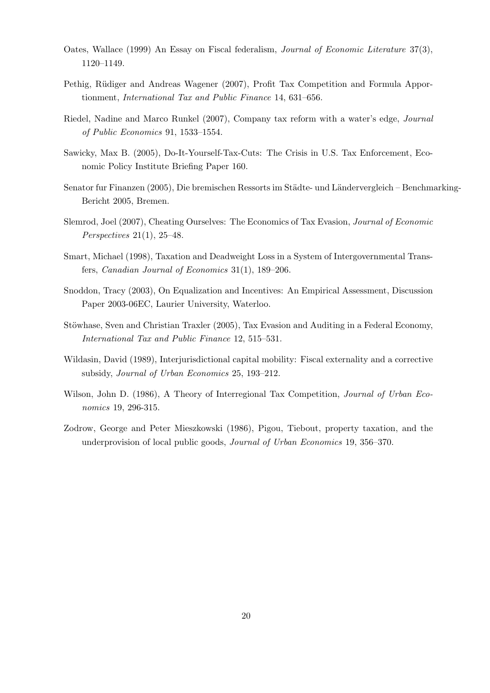- Oates, Wallace (1999) An Essay on Fiscal federalism, Journal of Economic Literature 37(3), 1120–1149.
- Pethig, Rüdiger and Andreas Wagener (2007), Profit Tax Competition and Formula Apportionment, International Tax and Public Finance 14, 631–656.
- Riedel, Nadine and Marco Runkel (2007), Company tax reform with a water's edge, Journal of Public Economics 91, 1533–1554.
- Sawicky, Max B. (2005), Do-It-Yourself-Tax-Cuts: The Crisis in U.S. Tax Enforcement, Economic Policy Institute Briefing Paper 160.
- Senator fur Finanzen (2005), Die bremischen Ressorts im Städte- und Ländervergleich Benchmarking-Bericht 2005, Bremen.
- Slemrod, Joel (2007), Cheating Ourselves: The Economics of Tax Evasion, Journal of Economic Perspectives 21(1), 25–48.
- Smart, Michael (1998), Taxation and Deadweight Loss in a System of Intergovernmental Transfers, Canadian Journal of Economics 31(1), 189–206.
- Snoddon, Tracy (2003), On Equalization and Incentives: An Empirical Assessment, Discussion Paper 2003-06EC, Laurier University, Waterloo.
- Stöwhase, Sven and Christian Traxler (2005), Tax Evasion and Auditing in a Federal Economy, International Tax and Public Finance 12, 515–531.
- Wildasin, David (1989), Interjurisdictional capital mobility: Fiscal externality and a corrective subsidy, Journal of Urban Economics 25, 193–212.
- Wilson, John D. (1986), A Theory of Interregional Tax Competition, *Journal of Urban Eco*nomics 19, 296-315.
- Zodrow, George and Peter Mieszkowski (1986), Pigou, Tiebout, property taxation, and the underprovision of local public goods, Journal of Urban Economics 19, 356–370.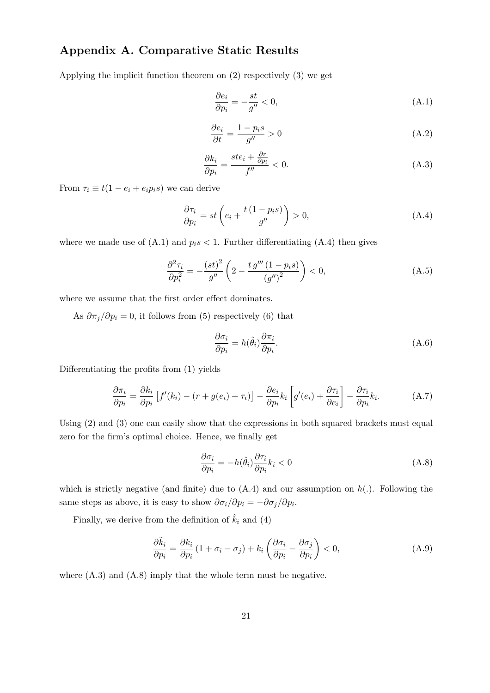## Appendix A. Comparative Static Results

Applying the implicit function theorem on (2) respectively (3) we get

$$
\frac{\partial e_i}{\partial p_i} = -\frac{st}{g''} < 0,\tag{A.1}
$$

$$
\frac{\partial e_i}{\partial t} = \frac{1 - p_i s}{g''} > 0
$$
\n(A.2)

$$
\frac{\partial k_i}{\partial p_i} = \frac{ste_i + \frac{\partial r}{\partial p_i}}{f''} < 0. \tag{A.3}
$$

From  $\tau_i \equiv t(1 - e_i + e_i p_i s)$  we can derive

$$
\frac{\partial \tau_i}{\partial p_i} = st \left( e_i + \frac{t(1 - p_i s)}{g''} \right) > 0,
$$
\n(A.4)

where we made use of  $(A.1)$  and  $p_i s < 1$ . Further differentiating  $(A.4)$  then gives

$$
\frac{\partial^2 \tau_i}{\partial p_i^2} = -\frac{(st)^2}{g''} \left( 2 - \frac{t g''' (1 - p_i s)}{(g'')^2} \right) < 0,\tag{A.5}
$$

where we assume that the first order effect dominates.

As  $\partial \pi_j / \partial p_i = 0$ , it follows from (5) respectively (6) that

$$
\frac{\partial \sigma_i}{\partial p_i} = h(\hat{\theta}_i) \frac{\partial \pi_i}{\partial p_i}.
$$
\n(A.6)

Differentiating the profits from (1) yields

$$
\frac{\partial \pi_i}{\partial p_i} = \frac{\partial k_i}{\partial p_i} \left[ f'(k_i) - (r + g(e_i) + \tau_i) \right] - \frac{\partial e_i}{\partial p_i} k_i \left[ g'(e_i) + \frac{\partial \tau_i}{\partial e_i} \right] - \frac{\partial \tau_i}{\partial p_i} k_i.
$$
 (A.7)

Using  $(2)$  and  $(3)$  one can easily show that the expressions in both squared brackets must equal zero for the firm's optimal choice. Hence, we finally get

$$
\frac{\partial \sigma_i}{\partial p_i} = -h(\hat{\theta}_i) \frac{\partial \tau_i}{\partial p_i} k_i < 0 \tag{A.8}
$$

which is strictly negative (and finite) due to  $(A.4)$  and our assumption on  $h(.)$ . Following the same steps as above, it is easy to show  $\partial \sigma_i / \partial p_i = -\partial \sigma_j / \partial p_i$ .

Finally, we derive from the definition of  $\hat{k}_i$  and (4)

$$
\frac{\partial \tilde{k}_i}{\partial p_i} = \frac{\partial k_i}{\partial p_i} \left( 1 + \sigma_i - \sigma_j \right) + k_i \left( \frac{\partial \sigma_i}{\partial p_i} - \frac{\partial \sigma_j}{\partial p_i} \right) < 0,\tag{A.9}
$$

where  $(A.3)$  and  $(A.8)$  imply that the whole term must be negative.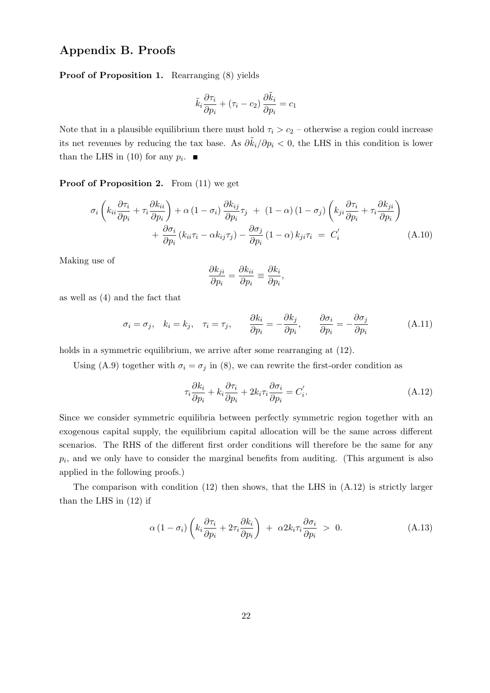## Appendix B. Proofs

Proof of Proposition 1. Rearranging (8) yields

$$
\tilde{k}_i\frac{\partial \tau_i}{\partial p_i} + \left(\tau_i - c_2\right)\frac{\partial \tilde{k}_i}{\partial p_i} = c_1
$$

Note that in a plausible equilibrium there must hold  $\tau_i > c_2$  – otherwise a region could increase its net revenues by reducing the tax base. As  $\partial \tilde{k}_i/\partial p_i < 0$ , the LHS in this condition is lower than the LHS in (10) for any  $p_i$ .

Proof of Proposition 2. From (11) we get

$$
\sigma_i \left( k_{ii} \frac{\partial \tau_i}{\partial p_i} + \tau_i \frac{\partial k_{ii}}{\partial p_i} \right) + \alpha \left( 1 - \sigma_i \right) \frac{\partial k_{ij}}{\partial p_i} \tau_j + (1 - \alpha) \left( 1 - \sigma_j \right) \left( k_{ji} \frac{\partial \tau_i}{\partial p_i} + \tau_i \frac{\partial k_{ji}}{\partial p_i} \right) + \frac{\partial \sigma_i}{\partial p_i} \left( k_{ii} \tau_i - \alpha k_{ij} \tau_j \right) - \frac{\partial \sigma_j}{\partial p_i} \left( 1 - \alpha \right) k_{ji} \tau_i = C_i' \tag{A.10}
$$

Making use of

$$
\frac{\partial k_{ji}}{\partial p_i} = \frac{\partial k_{ii}}{\partial p_i} \equiv \frac{\partial k_i}{\partial p_i},
$$

as well as (4) and the fact that

$$
\sigma_i = \sigma_j, \quad k_i = k_j, \quad \tau_i = \tau_j, \qquad \frac{\partial k_i}{\partial p_i} = -\frac{\partial k_j}{\partial p_i}, \qquad \frac{\partial \sigma_i}{\partial p_i} = -\frac{\partial \sigma_j}{\partial p_i} \tag{A.11}
$$

holds in a symmetric equilibrium, we arrive after some rearranging at  $(12)$ .

Using (A.9) together with  $\sigma_i = \sigma_j$  in (8), we can rewrite the first-order condition as

$$
\tau_i \frac{\partial k_i}{\partial p_i} + k_i \frac{\partial \tau_i}{\partial p_i} + 2k_i \tau_i \frac{\partial \sigma_i}{\partial p_i} = C'_i.
$$
\n(A.12)

Since we consider symmetric equilibria between perfectly symmetric region together with an exogenous capital supply, the equilibrium capital allocation will be the same across different scenarios. The RHS of the different first order conditions will therefore be the same for any  $p_i$ , and we only have to consider the marginal benefits from auditing. (This argument is also applied in the following proofs.)

The comparison with condition  $(12)$  then shows, that the LHS in  $(A.12)$  is strictly larger than the LHS in (12) if

$$
\alpha (1 - \sigma_i) \left( k_i \frac{\partial \tau_i}{\partial p_i} + 2 \tau_i \frac{\partial k_i}{\partial p_i} \right) + \alpha 2 k_i \tau_i \frac{\partial \sigma_i}{\partial p_i} > 0.
$$
 (A.13)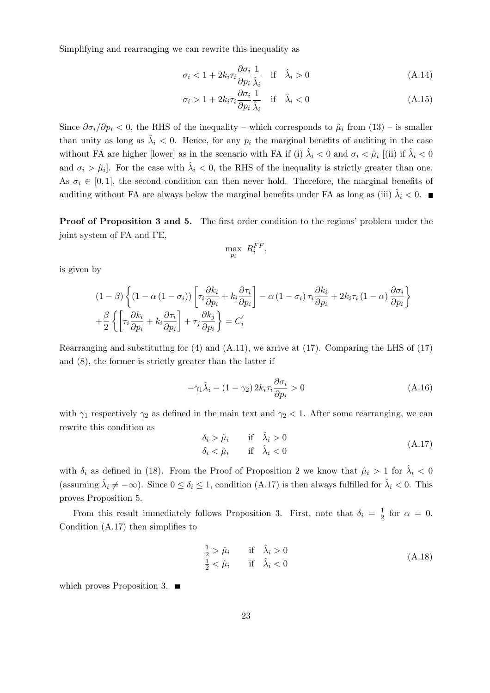Simplifying and rearranging we can rewrite this inequality as

$$
\sigma_i < 1 + 2k_i \tau_i \frac{\partial \sigma_i}{\partial p_i} \frac{1}{\hat{\lambda}_i} \quad \text{if} \quad \hat{\lambda}_i > 0 \tag{A.14}
$$

$$
\sigma_i > 1 + 2k_i \tau_i \frac{\partial \sigma_i}{\partial p_i} \frac{1}{\hat{\lambda}_i} \quad \text{if} \quad \hat{\lambda}_i < 0 \tag{A.15}
$$

Since  $\partial \sigma_i/\partial p_i < 0$ , the RHS of the inequality – which corresponds to  $\hat{\mu}_i$  from (13) – is smaller than unity as long as  $\hat{\lambda}_i < 0$ . Hence, for any  $p_i$  the marginal benefits of auditing in the case without FA are higher [lower] as in the scenario with FA if (i)  $\hat{\lambda}_i < 0$  and  $\sigma_i < \hat{\mu}_i$  [(ii) if  $\hat{\lambda}_i < 0$ and  $\sigma_i > \hat{\mu}_i$ . For the case with  $\hat{\lambda}_i < 0$ , the RHS of the inequality is strictly greater than one. As  $\sigma_i \in [0, 1]$ , the second condition can then never hold. Therefore, the marginal benefits of auditing without FA are always below the marginal benefits under FA as long as (iii)  $\hat{\lambda}_i < 0$ .

Proof of Proposition 3 and 5. The first order condition to the regions' problem under the joint system of FA and FE,

$$
\max_{p_i} \; R_i^{FF},
$$

is given by

$$
(1 - \beta) \left\{ (1 - \alpha (1 - \sigma_i)) \left[ \tau_i \frac{\partial k_i}{\partial p_i} + k_i \frac{\partial \tau_i}{\partial p_i} \right] - \alpha (1 - \sigma_i) \tau_i \frac{\partial k_i}{\partial p_i} + 2k_i \tau_i (1 - \alpha) \frac{\partial \sigma_i}{\partial p_i} \right\}
$$

$$
+ \frac{\beta}{2} \left\{ \left[ \tau_i \frac{\partial k_i}{\partial p_i} + k_i \frac{\partial \tau_i}{\partial p_i} \right] + \tau_j \frac{\partial k_j}{\partial p_i} \right\} = C_i'
$$

Rearranging and substituting for  $(4)$  and  $(A.11)$ , we arrive at  $(17)$ . Comparing the LHS of  $(17)$ and (8), the former is strictly greater than the latter if

$$
-\gamma_1 \hat{\lambda}_i - (1 - \gamma_2) 2k_i \tau_i \frac{\partial \sigma_i}{\partial p_i} > 0
$$
\n(A.16)

with  $\gamma_1$  respectively  $\gamma_2$  as defined in the main text and  $\gamma_2 < 1$ . After some rearranging, we can rewrite this condition as

$$
\delta_i > \hat{\mu}_i \quad \text{if} \quad \hat{\lambda}_i > 0 \n\delta_i < \hat{\mu}_i \quad \text{if} \quad \hat{\lambda}_i < 0
$$
\n(A.17)

with  $\delta_i$  as defined in (18). From the Proof of Proposition 2 we know that  $\hat{\mu}_i > 1$  for  $\hat{\lambda}_i < 0$ (assuming  $\hat{\lambda}_i \neq -\infty$ ). Since  $0 \leq \delta_i \leq 1$ , condition (A.17) is then always fulfilled for  $\hat{\lambda}_i < 0$ . This proves Proposition 5.

From this result immediately follows Proposition 3. First, note that  $\delta_i = \frac{1}{2}$  $\frac{1}{2}$  for  $\alpha = 0$ . Condition (A.17) then simplifies to

$$
\frac{1}{2} > \hat{\mu}_i \quad \text{if} \quad \hat{\lambda}_i > 0
$$
  

$$
\frac{1}{2} < \hat{\mu}_i \quad \text{if} \quad \hat{\lambda}_i < 0
$$
 (A.18)

which proves Proposition 3.  $\blacksquare$